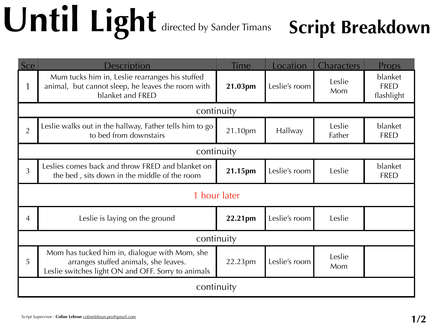## **Until Light** directed by Sander Timans **Script Breakdown**

| Sce            | <b>Description</b>                                                                                                                           | Time    | Location      | Characters       | Props                                |  |  |  |  |
|----------------|----------------------------------------------------------------------------------------------------------------------------------------------|---------|---------------|------------------|--------------------------------------|--|--|--|--|
|                | Mum tucks him in, Leslie rearranges his stuffed<br>animal, but cannot sleep, he leaves the room with<br>blanket and FRED                     | 21.03pm | Leslie's room | Leslie<br>Mom    | blanket<br><b>FRED</b><br>flashlight |  |  |  |  |
| continuity     |                                                                                                                                              |         |               |                  |                                      |  |  |  |  |
| $\overline{2}$ | Leslie walks out in the hallway, Father tells him to go<br>to bed from downstairs                                                            | 21.10pm | Hallway       | Leslie<br>Father | blanket<br><b>FRED</b>               |  |  |  |  |
| continuity     |                                                                                                                                              |         |               |                  |                                      |  |  |  |  |
| 3              | Leslies comes back and throw FRED and blanket on<br>the bed, sits down in the middle of the room                                             | 21.15pm | Leslie's room | Leslie           | blanket<br><b>FRED</b>               |  |  |  |  |
| 1 hour later   |                                                                                                                                              |         |               |                  |                                      |  |  |  |  |
| 4              | Leslie is laying on the ground                                                                                                               | 22.21pm | Leslie's room | Leslie           |                                      |  |  |  |  |
| continuity     |                                                                                                                                              |         |               |                  |                                      |  |  |  |  |
| 5              | Mom has tucked him in, dialogue with Mom, she<br>arranges stuffed animals, she leaves.<br>Leslie switches light ON and OFF. Sorry to animals | 22.23pm | Leslie's room | Leslie<br>Mom    |                                      |  |  |  |  |
| continuity     |                                                                                                                                              |         |               |                  |                                      |  |  |  |  |